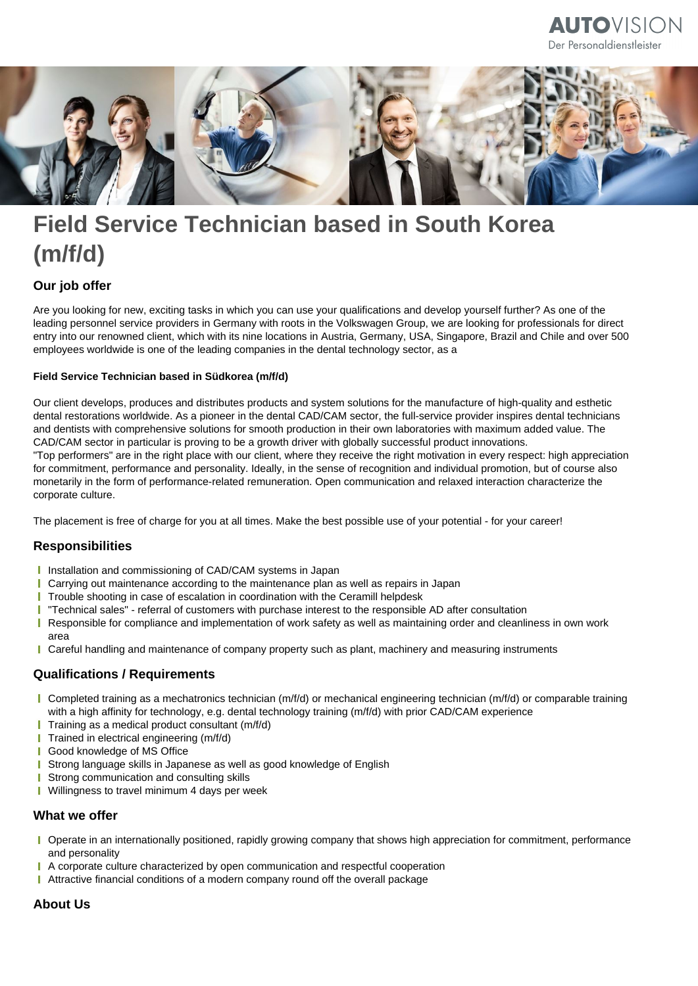# **AUTO**VISION Der Personaldienstleister



# **Field Service Technician based in South Korea (m/f/d)**

## **Our job offer**

Are you looking for new, exciting tasks in which you can use your qualifications and develop yourself further? As one of the leading personnel service providers in Germany with roots in the Volkswagen Group, we are looking for professionals for direct entry into our renowned client, which with its nine locations in Austria, Germany, USA, Singapore, Brazil and Chile and over 500 employees worldwide is one of the leading companies in the dental technology sector, as a

#### **Field Service Technician based in Südkorea (m/f/d)**

Our client develops, produces and distributes products and system solutions for the manufacture of high-quality and esthetic dental restorations worldwide. As a pioneer in the dental CAD/CAM sector, the full-service provider inspires dental technicians and dentists with comprehensive solutions for smooth production in their own laboratories with maximum added value. The CAD/CAM sector in particular is proving to be a growth driver with globally successful product innovations. "Top performers" are in the right place with our client, where they receive the right motivation in every respect: high appreciation for commitment, performance and personality. Ideally, in the sense of recognition and individual promotion, but of course also monetarily in the form of performance-related remuneration. Open communication and relaxed interaction characterize the corporate culture.

The placement is free of charge for you at all times. Make the best possible use of your potential - for your career!

#### **Responsibilities**

- **I** Installation and commissioning of CAD/CAM systems in Japan
- **I** Carrying out maintenance according to the maintenance plan as well as repairs in Japan
- **T** Trouble shooting in case of escalation in coordination with the Ceramill helpdesk
- "Technical sales" referral of customers with purchase interest to the responsible AD after consultation т
- Responsible for compliance and implementation of work safety as well as maintaining order and cleanliness in own work T area
- **I** Careful handling and maintenance of company property such as plant, machinery and measuring instruments

#### **Qualifications / Requirements**

- Completed training as a mechatronics technician (m/f/d) or mechanical engineering technician (m/f/d) or comparable training with a high affinity for technology, e.g. dental technology training (m/f/d) with prior CAD/CAM experience
- $\blacksquare$  Training as a medical product consultant (m/f/d)
- **Trained in electrical engineering (m/f/d)**
- **I** Good knowledge of MS Office
- **I** Strong language skills in Japanese as well as good knowledge of English
- Strong communication and consulting skills т
- **Willingness to travel minimum 4 days per week**

#### **What we offer**

- Operate in an internationally positioned, rapidly growing company that shows high appreciation for commitment, performance and personality
- A corporate culture characterized by open communication and respectful cooperation г
- Attractive financial conditions of a modern company round off the overall package

### **About Us**